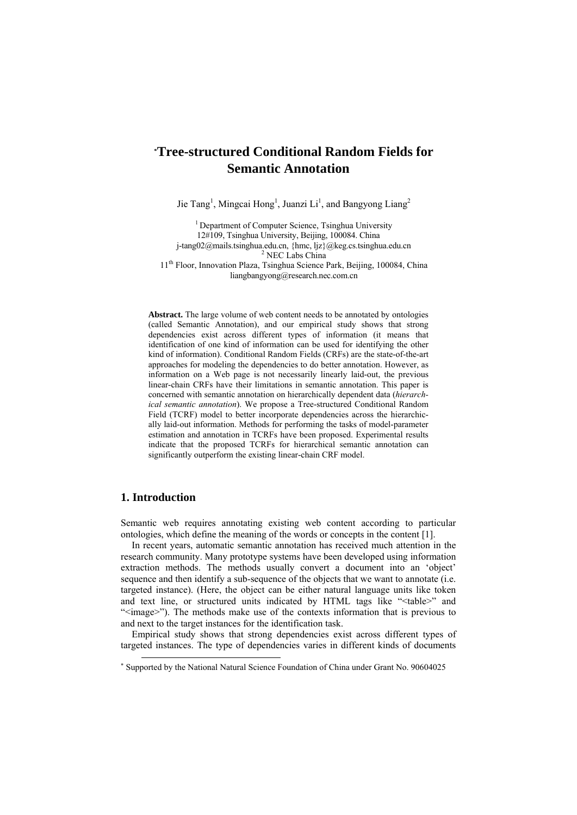# **\* Tree-structured Conditional Random Fields for Semantic Annotation**

Jie Tang<sup>1</sup>, Mingcai Hong<sup>1</sup>, Juanzi Li<sup>1</sup>, and Bangyong Liang<sup>2</sup>

<sup>1</sup> Department of Computer Science, Tsinghua University 12#109, Tsinghua University, Beijing, 100084. China j-tang02@mails.tsinghua.edu.cn, {hmc, ljz}@keg.cs.tsinghua.edu.cn 2  $2$  NEC Labs China

11th Floor, Innovation Plaza, Tsinghua Science Park, Beijing, 100084, China liangbangyong@research.nec.com.cn

**Abstract.** The large volume of web content needs to be annotated by ontologies (called Semantic Annotation), and our empirical study shows that strong dependencies exist across different types of information (it means that identification of one kind of information can be used for identifying the other kind of information). Conditional Random Fields (CRFs) are the state-of-the-art approaches for modeling the dependencies to do better annotation. However, as information on a Web page is not necessarily linearly laid-out, the previous linear-chain CRFs have their limitations in semantic annotation. This paper is concerned with semantic annotation on hierarchically dependent data (*hierarchical semantic annotation*). We propose a Tree-structured Conditional Random Field (TCRF) model to better incorporate dependencies across the hierarchically laid-out information. Methods for performing the tasks of model-parameter estimation and annotation in TCRFs have been proposed. Experimental results indicate that the proposed TCRFs for hierarchical semantic annotation can significantly outperform the existing linear-chain CRF model.

## **1. Introduction**

Semantic web requires annotating existing web content according to particular ontologies, which define the meaning of the words or concepts in the content [1].

In recent years, automatic semantic annotation has received much attention in the research community. Many prototype systems have been developed using information extraction methods. The methods usually convert a document into an 'object' sequence and then identify a sub-sequence of the objects that we want to annotate (i.e. targeted instance). (Here, the object can be either natural language units like token and text line, or structured units indicated by HTML tags like "<table>" and "<image>"). The methods make use of the contexts information that is previous to and next to the target instances for the identification task.

Empirical study shows that strong dependencies exist across different types of targeted instances. The type of dependencies varies in different kinds of documents

 <sup>\*</sup> Supported by the National Natural Science Foundation of China under Grant No. 90604025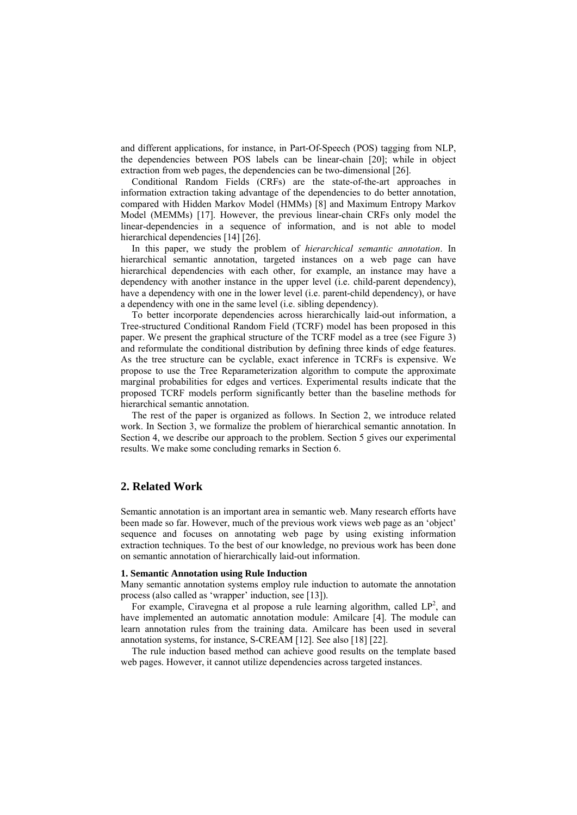and different applications, for instance, in Part-Of-Speech (POS) tagging from NLP, the dependencies between POS labels can be linear-chain [20]; while in object extraction from web pages, the dependencies can be two-dimensional [26].

Conditional Random Fields (CRFs) are the state-of-the-art approaches in information extraction taking advantage of the dependencies to do better annotation, compared with Hidden Markov Model (HMMs) [8] and Maximum Entropy Markov Model (MEMMs) [17]. However, the previous linear-chain CRFs only model the linear-dependencies in a sequence of information, and is not able to model hierarchical dependencies [14] [26].

In this paper, we study the problem of *hierarchical semantic annotation*. In hierarchical semantic annotation, targeted instances on a web page can have hierarchical dependencies with each other, for example, an instance may have a dependency with another instance in the upper level (i.e. child-parent dependency), have a dependency with one in the lower level (i.e. parent-child dependency), or have a dependency with one in the same level (i.e. sibling dependency).

To better incorporate dependencies across hierarchically laid-out information, a Tree-structured Conditional Random Field (TCRF) model has been proposed in this paper. We present the graphical structure of the TCRF model as a tree (see Figure 3) and reformulate the conditional distribution by defining three kinds of edge features. As the tree structure can be cyclable, exact inference in TCRFs is expensive. We propose to use the Tree Reparameterization algorithm to compute the approximate marginal probabilities for edges and vertices. Experimental results indicate that the proposed TCRF models perform significantly better than the baseline methods for hierarchical semantic annotation.

The rest of the paper is organized as follows. In Section 2, we introduce related work. In Section 3, we formalize the problem of hierarchical semantic annotation. In Section 4, we describe our approach to the problem. Section 5 gives our experimental results. We make some concluding remarks in Section 6.

## **2. Related Work**

Semantic annotation is an important area in semantic web. Many research efforts have been made so far. However, much of the previous work views web page as an 'object' sequence and focuses on annotating web page by using existing information extraction techniques. To the best of our knowledge, no previous work has been done on semantic annotation of hierarchically laid-out information.

#### **1. Semantic Annotation using Rule Induction**

Many semantic annotation systems employ rule induction to automate the annotation process (also called as 'wrapper' induction, see [13]).

For example, Ciravegna et al propose a rule learning algorithm, called  $LP^2$ , and have implemented an automatic annotation module: Amilcare [4]. The module can learn annotation rules from the training data. Amilcare has been used in several annotation systems, for instance, S-CREAM [12]. See also [18] [22].

The rule induction based method can achieve good results on the template based web pages. However, it cannot utilize dependencies across targeted instances.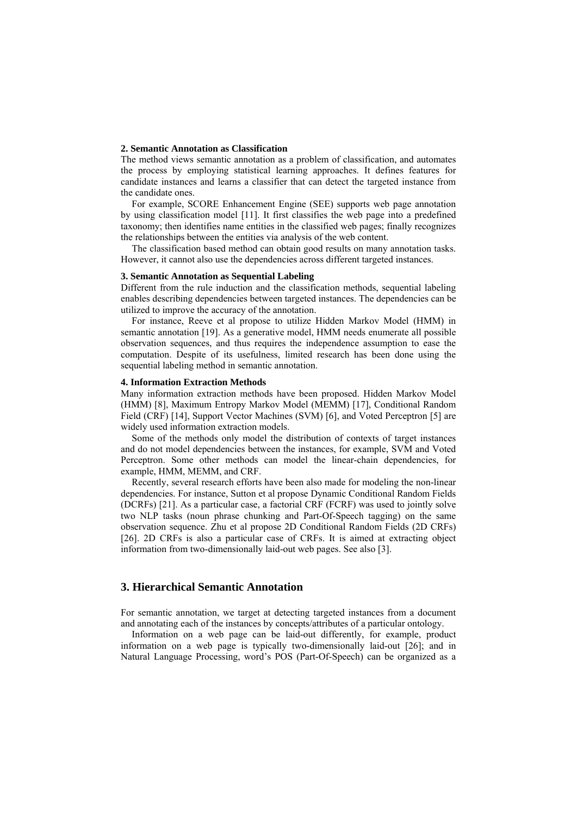### **2. Semantic Annotation as Classification**

The method views semantic annotation as a problem of classification, and automates the process by employing statistical learning approaches. It defines features for candidate instances and learns a classifier that can detect the targeted instance from the candidate ones.

For example, SCORE Enhancement Engine (SEE) supports web page annotation by using classification model [11]. It first classifies the web page into a predefined taxonomy; then identifies name entities in the classified web pages; finally recognizes the relationships between the entities via analysis of the web content.

The classification based method can obtain good results on many annotation tasks. However, it cannot also use the dependencies across different targeted instances.

## **3. Semantic Annotation as Sequential Labeling**

Different from the rule induction and the classification methods, sequential labeling enables describing dependencies between targeted instances. The dependencies can be utilized to improve the accuracy of the annotation.

For instance, Reeve et al propose to utilize Hidden Markov Model (HMM) in semantic annotation [19]. As a generative model, HMM needs enumerate all possible observation sequences, and thus requires the independence assumption to ease the computation. Despite of its usefulness, limited research has been done using the sequential labeling method in semantic annotation.

### **4. Information Extraction Methods**

Many information extraction methods have been proposed. Hidden Markov Model (HMM) [8], Maximum Entropy Markov Model (MEMM) [17], Conditional Random Field (CRF) [14], Support Vector Machines (SVM) [6], and Voted Perceptron [5] are widely used information extraction models.

Some of the methods only model the distribution of contexts of target instances and do not model dependencies between the instances, for example, SVM and Voted Perceptron. Some other methods can model the linear-chain dependencies, for example, HMM, MEMM, and CRF.

Recently, several research efforts have been also made for modeling the non-linear dependencies. For instance, Sutton et al propose Dynamic Conditional Random Fields (DCRFs) [21]. As a particular case, a factorial CRF (FCRF) was used to jointly solve two NLP tasks (noun phrase chunking and Part-Of-Speech tagging) on the same observation sequence. Zhu et al propose 2D Conditional Random Fields (2D CRFs) [26]. 2D CRFs is also a particular case of CRFs. It is aimed at extracting object information from two-dimensionally laid-out web pages. See also [3].

## **3. Hierarchical Semantic Annotation**

For semantic annotation, we target at detecting targeted instances from a document and annotating each of the instances by concepts/attributes of a particular ontology.

Information on a web page can be laid-out differently, for example, product information on a web page is typically two-dimensionally laid-out [26]; and in Natural Language Processing, word's POS (Part-Of-Speech) can be organized as a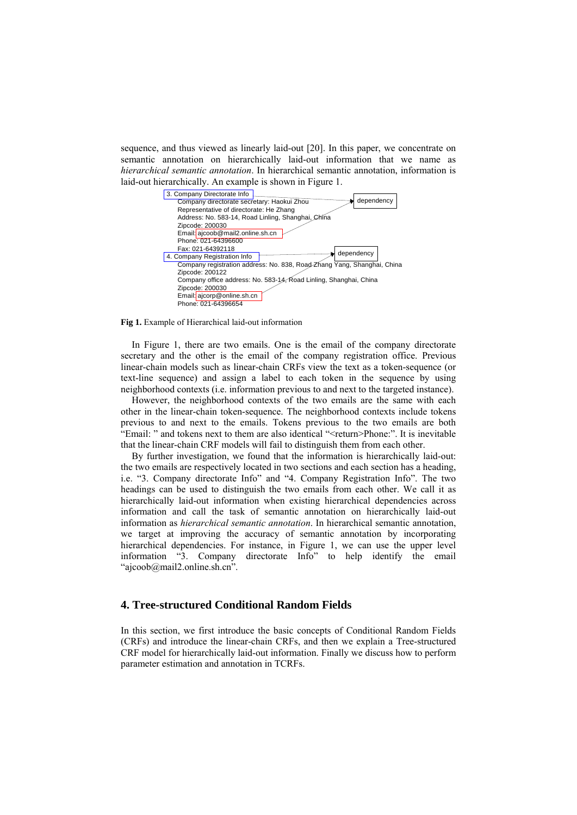sequence, and thus viewed as linearly laid-out [20]. In this paper, we concentrate on semantic annotation on hierarchically laid-out information that we name as *hierarchical semantic annotation*. In hierarchical semantic annotation, information is laid-out hierarchically. An example is shown in Figure 1.



**Fig 1.** Example of Hierarchical laid-out information

In Figure 1, there are two emails. One is the email of the company directorate secretary and the other is the email of the company registration office. Previous linear-chain models such as linear-chain CRFs view the text as a token-sequence (or text-line sequence) and assign a label to each token in the sequence by using neighborhood contexts (i.e. information previous to and next to the targeted instance).

However, the neighborhood contexts of the two emails are the same with each other in the linear-chain token-sequence. The neighborhood contexts include tokens previous to and next to the emails. Tokens previous to the two emails are both "Email: " and tokens next to them are also identical "<return>Phone:". It is inevitable that the linear-chain CRF models will fail to distinguish them from each other.

By further investigation, we found that the information is hierarchically laid-out: the two emails are respectively located in two sections and each section has a heading, i.e. "3. Company directorate Info" and "4. Company Registration Info". The two headings can be used to distinguish the two emails from each other. We call it as hierarchically laid-out information when existing hierarchical dependencies across information and call the task of semantic annotation on hierarchically laid-out information as *hierarchical semantic annotation*. In hierarchical semantic annotation, we target at improving the accuracy of semantic annotation by incorporating hierarchical dependencies. For instance, in Figure 1, we can use the upper level information "3. Company directorate Info" to help identify the email "ajcoob@mail2.online.sh.cn".

## **4. Tree-structured Conditional Random Fields**

In this section, we first introduce the basic concepts of Conditional Random Fields (CRFs) and introduce the linear-chain CRFs, and then we explain a Tree-structured CRF model for hierarchically laid-out information. Finally we discuss how to perform parameter estimation and annotation in TCRFs.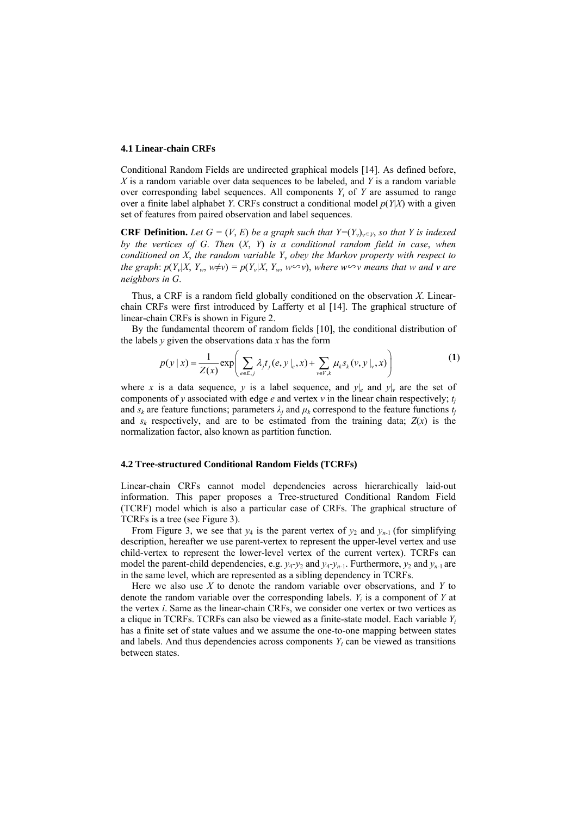### **4.1 Linear-chain CRFs**

Conditional Random Fields are undirected graphical models [14]. As defined before, *X* is a random variable over data sequences to be labeled, and *Y* is a random variable over corresponding label sequences. All components  $Y_i$  of  $Y$  are assumed to range over a finite label alphabet *Y*. CRFs construct a conditional model *p*(*Y*|*X*) with a given set of features from paired observation and label sequences.

**CRF Definition.** Let  $G = (V, E)$  be a graph such that  $Y=(Y_v)_{v\in V}$ , so that Y is indexed *by the vertices of G*. *Then* (*X*, *Y*) *is a conditional random field in case*, *when conditioned on X, the random variable*  $Y_v$  *obey the Markov property with respect to the graph*:  $p(Y_v|X, Y_w, w \neq v) = p(Y_v|X, Y_w, w \infty v)$ , where  $w \infty v$  means that w and v are *neighbors in G*.

Thus, a CRF is a random field globally conditioned on the observation *X*. Linearchain CRFs were first introduced by Lafferty et al [14]. The graphical structure of linear-chain CRFs is shown in Figure 2.

By the fundamental theorem of random fields [10], the conditional distribution of the labels  $y$  given the observations data  $x$  has the form

$$
p(y \mid x) = \frac{1}{Z(x)} \exp \left( \sum_{e \in E, j} \lambda_j t_j(e, y \mid_e, x) + \sum_{v \in V, k} \mu_k s_k(v, y \mid_v, x) \right)
$$
(1)

where x is a data sequence, y is a label sequence, and  $y|_e$  and  $y|_y$  are the set of components of *y* associated with edge *e* and vertex  $v$  in the linear chain respectively;  $t_i$ and  $s_k$  are feature functions; parameters  $\lambda_i$  and  $\mu_k$  correspond to the feature functions  $t_i$ and  $s_k$  respectively, and are to be estimated from the training data;  $Z(x)$  is the normalization factor, also known as partition function.

## **4.2 Tree-structured Conditional Random Fields (TCRFs)**

Linear-chain CRFs cannot model dependencies across hierarchically laid-out information. This paper proposes a Tree-structured Conditional Random Field (TCRF) model which is also a particular case of CRFs. The graphical structure of TCRFs is a tree (see Figure 3).

From Figure 3, we see that  $y_4$  is the parent vertex of  $y_2$  and  $y_{n-1}$  (for simplifying description, hereafter we use parent-vertex to represent the upper-level vertex and use child-vertex to represent the lower-level vertex of the current vertex). TCRFs can model the parent-child dependencies, e.g.  $y_4-y_2$  and  $y_4-y_{n-1}$ . Furthermore,  $y_2$  and  $y_{n-1}$  are in the same level, which are represented as a sibling dependency in TCRFs.

Here we also use *X* to denote the random variable over observations, and *Y* to denote the random variable over the corresponding labels.  $Y_i$  is a component of  $Y$  at the vertex *i*. Same as the linear-chain CRFs, we consider one vertex or two vertices as a clique in TCRFs. TCRFs can also be viewed as a finite-state model. Each variable *Yi* has a finite set of state values and we assume the one-to-one mapping between states and labels. And thus dependencies across components  $Y_i$  can be viewed as transitions between states.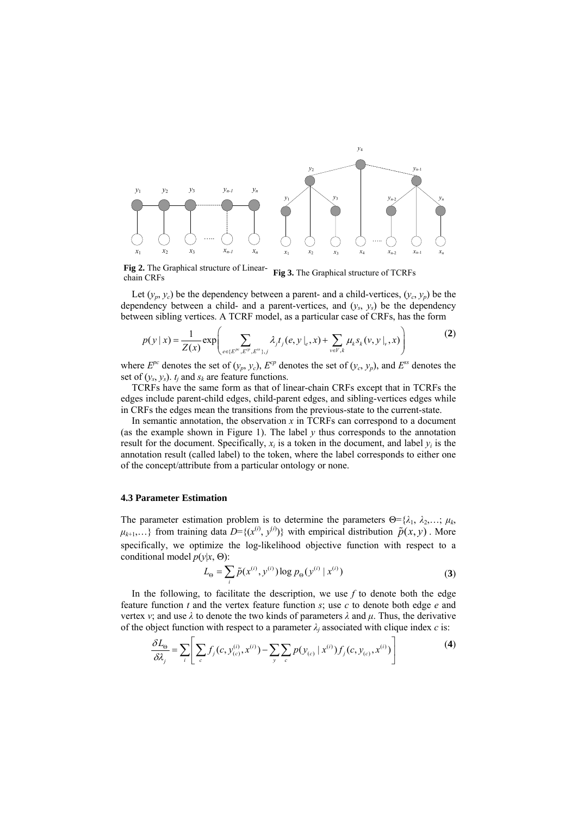

**Fig 2.** The Graphical structure of Linear-**Fig 2.** The Graphical structure of Linear-<br>chain CRFs chain CRFs

Let  $(y_p, y_c)$  be the dependency between a parent- and a child-vertices,  $(y_c, y_p)$  be the dependency between a child- and a parent-vertices, and  $(y_s, y_s)$  be the dependency between sibling vertices. A TCRF model, as a particular case of CRFs, has the form

$$
p(y \mid x) = \frac{1}{Z(x)} \exp \left( \sum_{e \in \{E^{P^c}, E^{Q^c}, E^{ss}\}, j} \lambda_j t_j(e, y \mid_e, x) + \sum_{v \in V, k} \mu_k s_k(v, y \mid_v, x) \right)
$$
(2)

where  $E^{pc}$  denotes the set of  $(y_p, y_c)$ ,  $E^{cp}$  denotes the set of  $(y_c, y_p)$ , and  $E^{ss}$  denotes the set of  $(y_s, y_s)$ .  $t_i$  and  $s_k$  are feature functions.

TCRFs have the same form as that of linear-chain CRFs except that in TCRFs the edges include parent-child edges, child-parent edges, and sibling-vertices edges while in CRFs the edges mean the transitions from the previous-state to the current-state.

In semantic annotation, the observation *x* in TCRFs can correspond to a document (as the example shown in Figure 1). The label  $y$  thus corresponds to the annotation result for the document. Specifically,  $x_i$  is a token in the document, and label  $y_i$  is the annotation result (called label) to the token, where the label corresponds to either one of the concept/attribute from a particular ontology or none.

## **4.3 Parameter Estimation**

The parameter estimation problem is to determine the parameters  $\Theta = \{\lambda_1, \lambda_2, \dots, \mu_k\}$  $\mu_{k+1}, \ldots$ } from training data  $D = \{(x^{(i)}, y^{(i)})\}$  with empirical distribution  $\tilde{p}(x, y)$ . More specifically, we optimize the log-likelihood objective function with respect to a conditional model *p*(*y*|*x*, Θ):

$$
L_{\Theta} = \sum_{i} \tilde{p}(x^{(i)}, y^{(i)}) \log p_{\Theta}(y^{(i)} | x^{(i)})
$$
 (3)

In the following, to facilitate the description, we use  $f$  to denote both the edge feature function *t* and the vertex feature function *s*; use *c* to denote both edge *e* and vertex *v*; and use  $\lambda$  to denote the two kinds of parameters  $\lambda$  and  $\mu$ . Thus, the derivative of the object function with respect to a parameter  $\lambda_i$  associated with clique index *c* is:

$$
\frac{\delta L_{\Theta}}{\delta \lambda_j} = \sum_{i} \left[ \sum_{c} f_j(c, y_{(c)}^{(i)}, x^{(i)}) - \sum_{y} \sum_{c} p(y_{(c)} | x^{(i)}) f_j(c, y_{(c)}, x^{(i)}) \right]
$$
(4)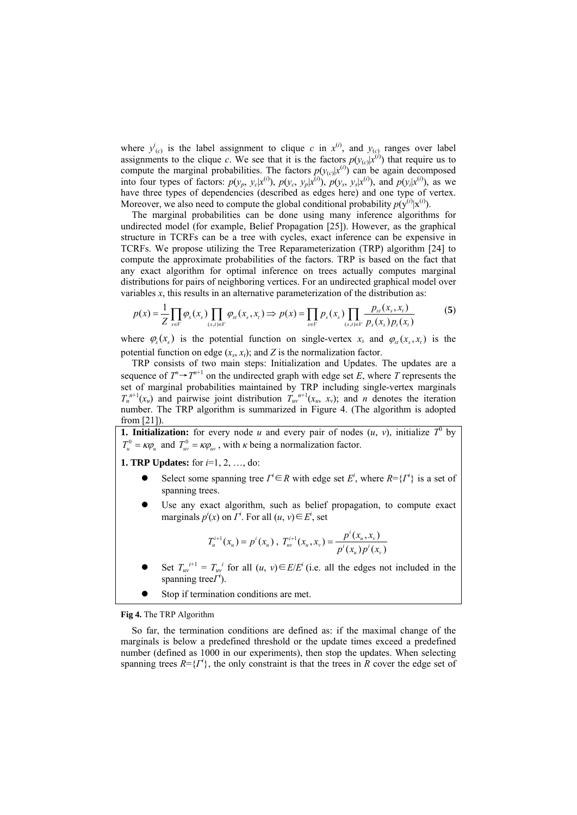where  $y^i_{(c)}$  is the label assignment to clique *c* in  $x^{(i)}$ , and  $y_{(c)}$  ranges over label assignments to the clique *c*. We see that it is the factors  $p(y_{(c)}|x^{(i)})$  that require us to compute the marginal probabilities. The factors  $p(y_{(c)}|x^{(i)})$  can be again decomposed into four types of factors:  $p(y_p, y_c|x^{(i)})$ ,  $p(y_c, y_p|x^{(i)})$ ,  $p(y_s, y_s|x^{(i)})$ , and  $p(y_i|x^{(i)})$ , as we have three types of dependencies (described as edges here) and one type of vertex. Moreover, we also need to compute the global conditional probability  $p(y^{(i)}|x^{(i)})$ .

The marginal probabilities can be done using many inference algorithms for undirected model (for example, Belief Propagation [25]). However, as the graphical structure in TCRFs can be a tree with cycles, exact inference can be expensive in TCRFs. We propose utilizing the Tree Reparameterization (TRP) algorithm [24] to compute the approximate probabilities of the factors. TRP is based on the fact that any exact algorithm for optimal inference on trees actually computes marginal distributions for pairs of neighboring vertices. For an undirected graphical model over variables  $x$ , this results in an alternative parameterization of the distribution as:

$$
p(x) = \frac{1}{Z} \prod_{s \in V} \varphi_s(x_s) \prod_{(s,t) \in V} \varphi_{st}(x_s, x_t) \Rightarrow p(x) = \prod_{s \in V} p_s(x_s) \prod_{(s,t) \in V} \frac{p_{st}(x_s, x_t)}{p_s(x_s) p_t(x_t)}
$$
(5)

where  $\varphi$ <sub>*c*</sub>( $x$ <sub>*c*</sub>) is the potential function on single-vertex  $x_s$  and  $\varphi$ <sub>*c*</sub>( $x_s$ ,  $x_t$ ) is the potential function on edge  $(x_s, x_t)$ ; and *Z* is the normalization factor.

TRP consists of two main steps: Initialization and Updates. The updates are a sequence of  $T^n \rightarrow T^{n+1}$  on the undirected graph with edge set *E*, where *T* represents the set of marginal probabilities maintained by TRP including single-vertex marginals  $T_u^{n+1}(x_u)$  and pairwise joint distribution  $T_{uv}^{n+1}(x_u, x_v)$ ; and *n* denotes the iteration number. The TRP algorithm is summarized in Figure 4. (The algorithm is adopted from [21]).

**1. Initialization:** for every node *u* and every pair of nodes  $(u, v)$ , initialize  $T^0$  by  $T_u^0 = \kappa \varphi_u$  and  $T_w^0 = \kappa \varphi_w$ , with *κ* being a normalization factor.

**1. TRP Updates:** for *i*=1, 2, …, do:

- **■** Select some spanning tree  $\Gamma$ <sup>*i*</sup> ∈ *R* with edge set  $E^i$ , where  $R = \{ \Gamma^i \}$  is a set of spanning trees.
- Use any exact algorithm, such as belief propagation, to compute exact marginals  $p^i(x)$  on  $\Gamma^i$ . For all  $(u, v) \in E^i$ , set

$$
T_u^{i+1}(x_u) = p^i(x_u), \ T_w^{i+1}(x_u, x_v) = \frac{p^i(x_u, x_v)}{p^i(x_u)p^i(x_v)}
$$

- Set  $T_{uv}^{i+1} = T_{uv}^{i}$  for all  $(u, v) \in E/E^{i}$  (i.e. all the edges not included in the spanning tree*Γ<sup>i</sup>* ).
- Stop if termination conditions are met.

**Fig 4.** The TRP Algorithm

So far, the termination conditions are defined as: if the maximal change of the marginals is below a predefined threshold or the update times exceed a predefined number (defined as 1000 in our experiments), then stop the updates. When selecting spanning trees  $R = \{I^i\}$ , the only constraint is that the trees in *R* cover the edge set of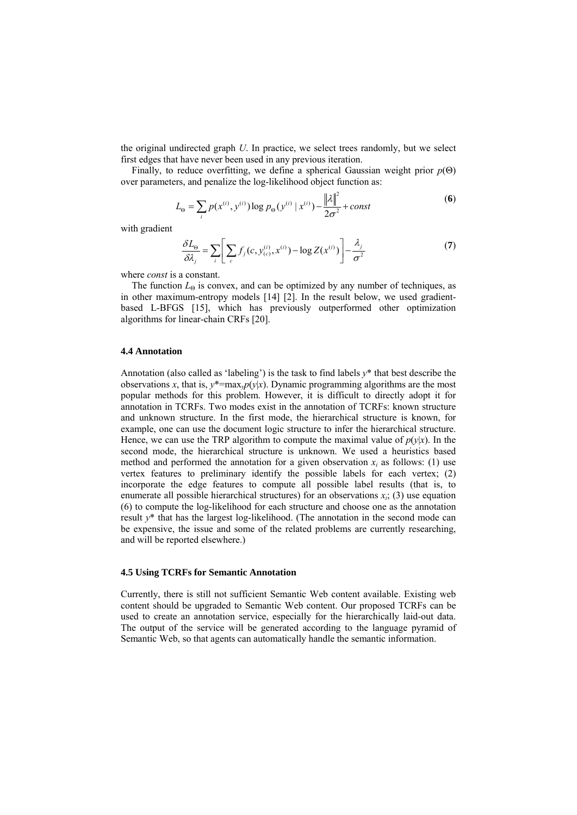the original undirected graph *U*. In practice, we select trees randomly, but we select first edges that have never been used in any previous iteration.

Finally, to reduce overfitting, we define a spherical Gaussian weight prior *p*(Θ) over parameters, and penalize the log-likelihood object function as:

$$
L_{\Theta} = \sum_{i} p(x^{(i)}, y^{(i)}) \log p_{\Theta}(y^{(i)} | x^{(i)}) - \frac{\|\lambda\|^2}{2\sigma^2} + const
$$
 (6)

with gradient

$$
\frac{\delta L_{\Theta}}{\delta \lambda_j} = \sum_{i} \left[ \sum_{c} f_j(c, y_{(c)}^{(i)}, x^{(i)}) - \log Z(x^{(i)}) \right] - \frac{\lambda_j}{\sigma^2}
$$
(7)

where *const* is a constant.

The function  $L_{\Theta}$  is convex, and can be optimized by any number of techniques, as in other maximum-entropy models [14] [2]. In the result below, we used gradientbased L-BFGS [15], which has previously outperformed other optimization algorithms for linear-chain CRFs [20].

### **4.4 Annotation**

Annotation (also called as 'labeling') is the task to find labels *y*\* that best describe the observations *x*, that is,  $y^* = \max_y p(y|x)$ . Dynamic programming algorithms are the most popular methods for this problem. However, it is difficult to directly adopt it for annotation in TCRFs. Two modes exist in the annotation of TCRFs: known structure and unknown structure. In the first mode, the hierarchical structure is known, for example, one can use the document logic structure to infer the hierarchical structure. Hence, we can use the TRP algorithm to compute the maximal value of  $p(y|x)$ . In the second mode, the hierarchical structure is unknown. We used a heuristics based method and performed the annotation for a given observation  $x_i$  as follows: (1) use vertex features to preliminary identify the possible labels for each vertex; (2) incorporate the edge features to compute all possible label results (that is, to enumerate all possible hierarchical structures) for an observations  $x_i$ ; (3) use equation (6) to compute the log-likelihood for each structure and choose one as the annotation result *y*\* that has the largest log-likelihood. (The annotation in the second mode can be expensive, the issue and some of the related problems are currently researching, and will be reported elsewhere.)

#### **4.5 Using TCRFs for Semantic Annotation**

Currently, there is still not sufficient Semantic Web content available. Existing web content should be upgraded to Semantic Web content. Our proposed TCRFs can be used to create an annotation service, especially for the hierarchically laid-out data. The output of the service will be generated according to the language pyramid of Semantic Web, so that agents can automatically handle the semantic information.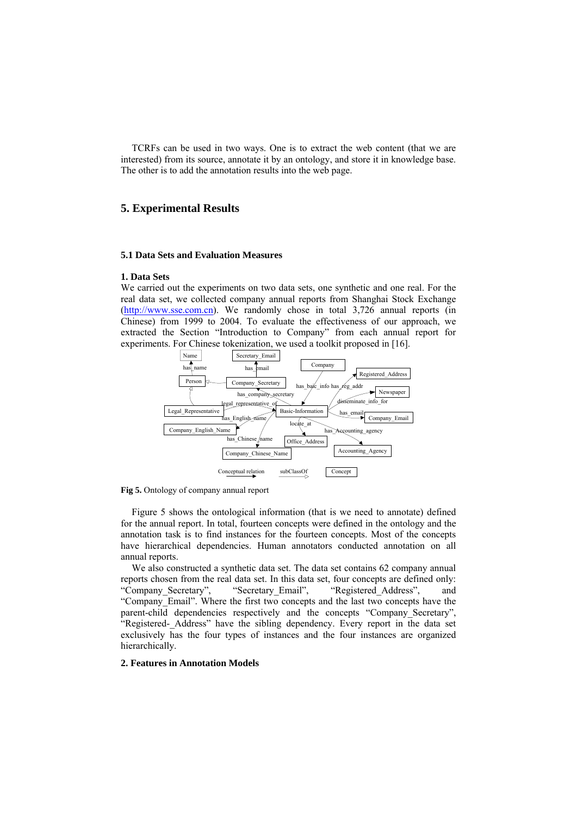TCRFs can be used in two ways. One is to extract the web content (that we are interested) from its source, annotate it by an ontology, and store it in knowledge base. The other is to add the annotation results into the web page.

## **5. Experimental Results**

### **5.1 Data Sets and Evaluation Measures**

## **1. Data Sets**

We carried out the experiments on two data sets, one synthetic and one real. For the real data set, we collected company annual reports from Shanghai Stock Exchange (http://www.sse.com.cn). We randomly chose in total 3,726 annual reports (in Chinese) from 1999 to 2004. To evaluate the effectiveness of our approach, we extracted the Section "Introduction to Company" from each annual report for experiments. For Chinese tokenization, we used a toolkit proposed in [16].



**Fig 5.** Ontology of company annual report

Figure 5 shows the ontological information (that is we need to annotate) defined for the annual report. In total, fourteen concepts were defined in the ontology and the annotation task is to find instances for the fourteen concepts. Most of the concepts have hierarchical dependencies. Human annotators conducted annotation on all annual reports.

We also constructed a synthetic data set. The data set contains 62 company annual reports chosen from the real data set. In this data set, four concepts are defined only: "Company Secretary", "Secretary Email", "Registered Address", and "Company\_Email". Where the first two concepts and the last two concepts have the parent-child dependencies respectively and the concepts "Company Secretary", "Registered- Address" have the sibling dependency. Every report in the data set exclusively has the four types of instances and the four instances are organized hierarchically.

## **2. Features in Annotation Models**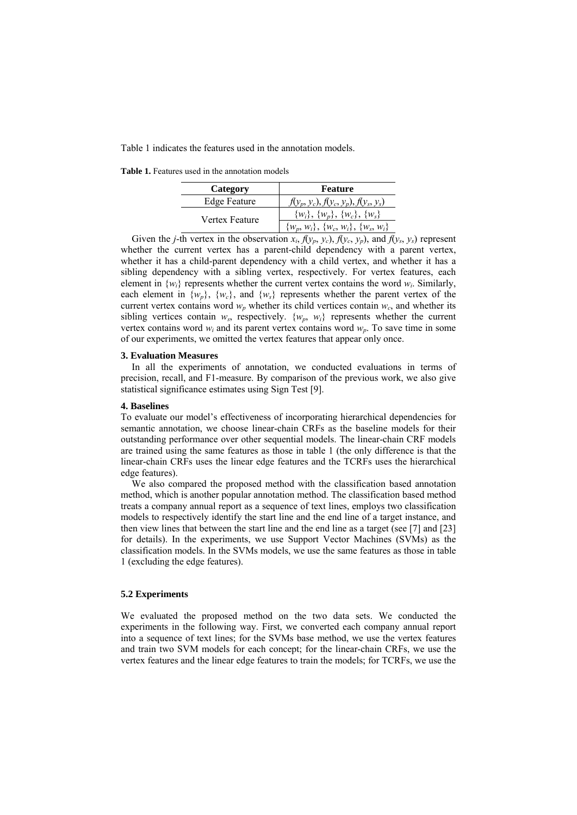Table 1 indicates the features used in the annotation models.

**Table 1.** Features used in the annotation models

| Category            | <b>Feature</b>                                |  |  |  |  |  |
|---------------------|-----------------------------------------------|--|--|--|--|--|
| <b>Edge Feature</b> | $f(y_p, y_c)$ , $f(y_c, y_p)$ , $f(y_s, y_s)$ |  |  |  |  |  |
| Vertex Feature      | $\{w_i\}, \{w_p\}, \{w_c\}, \{w_s\}$          |  |  |  |  |  |
|                     | $\{w_p, w_i\}, \{w_c, w_i\}, \{w_s, w_i\}$    |  |  |  |  |  |

Given the *j*-th vertex in the observation  $x_i$ ,  $f(y_p, y_c)$ ,  $f(y_c, y_p)$ , and  $f(y_s, y_s)$  represent whether the current vertex has a parent-child dependency with a parent vertex, whether it has a child-parent dependency with a child vertex, and whether it has a sibling dependency with a sibling vertex, respectively. For vertex features, each element in  $\{w_i\}$  represents whether the current vertex contains the word  $w_i$ . Similarly, each element in  $\{w_p\}$ ,  $\{w_c\}$ , and  $\{w_s\}$  represents whether the parent vertex of the current vertex contains word  $w_p$  whether its child vertices contain  $w_c$ , and whether its sibling vertices contain  $w_s$ , respectively.  $\{w_p, w_i\}$  represents whether the current vertex contains word  $w_i$  and its parent vertex contains word  $w_p$ . To save time in some of our experiments, we omitted the vertex features that appear only once.

## **3. Evaluation Measures**

In all the experiments of annotation, we conducted evaluations in terms of precision, recall, and F1-measure. By comparison of the previous work, we also give statistical significance estimates using Sign Test [9].

### **4. Baselines**

To evaluate our model's effectiveness of incorporating hierarchical dependencies for semantic annotation, we choose linear-chain CRFs as the baseline models for their outstanding performance over other sequential models. The linear-chain CRF models are trained using the same features as those in table 1 (the only difference is that the linear-chain CRFs uses the linear edge features and the TCRFs uses the hierarchical edge features).

We also compared the proposed method with the classification based annotation method, which is another popular annotation method. The classification based method treats a company annual report as a sequence of text lines, employs two classification models to respectively identify the start line and the end line of a target instance, and then view lines that between the start line and the end line as a target (see [7] and [23] for details). In the experiments, we use Support Vector Machines (SVMs) as the classification models. In the SVMs models, we use the same features as those in table 1 (excluding the edge features).

## **5.2 Experiments**

We evaluated the proposed method on the two data sets. We conducted the experiments in the following way. First, we converted each company annual report into a sequence of text lines; for the SVMs base method, we use the vertex features and train two SVM models for each concept; for the linear-chain CRFs, we use the vertex features and the linear edge features to train the models; for TCRFs, we use the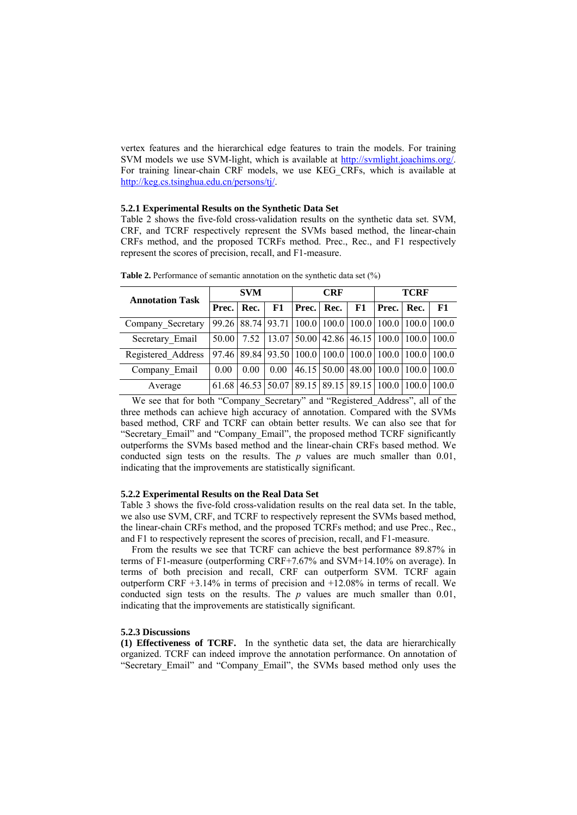vertex features and the hierarchical edge features to train the models. For training SVM models we use SVM-light, which is available at http://svmlight.joachims.org/. For training linear-chain CRF models, we use KEG\_CRFs, which is available at http://keg.cs.tsinghua.edu.cn/persons/tj/.

### **5.2.1 Experimental Results on the Synthetic Data Set**

Table 2 shows the five-fold cross-validation results on the synthetic data set. SVM, CRF, and TCRF respectively represent the SVMs based method, the linear-chain CRFs method, and the proposed TCRFs method. Prec., Rec., and F1 respectively represent the scores of precision, recall, and F1-measure.

| <b>Annotation Task</b> | <b>SVM</b> |      |      |                                                                       | <b>CRF</b> |    | <b>TCRF</b>                                   |  |    |
|------------------------|------------|------|------|-----------------------------------------------------------------------|------------|----|-----------------------------------------------|--|----|
|                        | Prec.      | Rec. | F1   | <b>Prec.</b> Rec.                                                     |            | F1 | <b>Prec.</b> Rec.                             |  | F1 |
| Company Secretary      |            |      |      | 99.26 88.74 93.71 100.0 100.0 100.0 100.0 100.0 100.0                 |            |    |                                               |  |    |
| Secretary Email        | 50.00      |      |      | 7.52   13.07   50.00   42.86   46.15   100.0   100.0   100.0          |            |    |                                               |  |    |
| Registered Address     |            |      |      | 97.46   89.84   93.50   100.0   100.0   100.0   100.0   100.0   100.0 |            |    |                                               |  |    |
| Company Email          | 0.00       | 0.00 | 0.00 |                                                                       |            |    | 46.15   50.00   48.00   100.0   100.0   100.0 |  |    |
| Average                | 61.68      |      |      | 46.53 50.07 89.15 89.15 89.15 100.0 100.0 100.0                       |            |    |                                               |  |    |

**Table 2.** Performance of semantic annotation on the synthetic data set (%)

We see that for both "Company Secretary" and "Registered Address", all of the three methods can achieve high accuracy of annotation. Compared with the SVMs based method, CRF and TCRF can obtain better results. We can also see that for "Secretary\_Email" and "Company\_Email", the proposed method TCRF significantly outperforms the SVMs based method and the linear-chain CRFs based method. We conducted sign tests on the results. The *p* values are much smaller than 0.01, indicating that the improvements are statistically significant.

## **5.2.2 Experimental Results on the Real Data Set**

Table 3 shows the five-fold cross-validation results on the real data set. In the table, we also use SVM, CRF, and TCRF to respectively represent the SVMs based method, the linear-chain CRFs method, and the proposed TCRFs method; and use Prec., Rec., and F1 to respectively represent the scores of precision, recall, and F1-measure.

From the results we see that TCRF can achieve the best performance 89.87% in terms of F1-measure (outperforming CRF+7.67% and SVM+14.10% on average). In terms of both precision and recall, CRF can outperform SVM. TCRF again outperform CRF +3.14% in terms of precision and +12.08% in terms of recall. We conducted sign tests on the results. The *p* values are much smaller than 0.01, indicating that the improvements are statistically significant.

## **5.2.3 Discussions**

**(1) Effectiveness of TCRF.** In the synthetic data set, the data are hierarchically organized. TCRF can indeed improve the annotation performance. On annotation of "Secretary Email" and "Company Email", the SVMs based method only uses the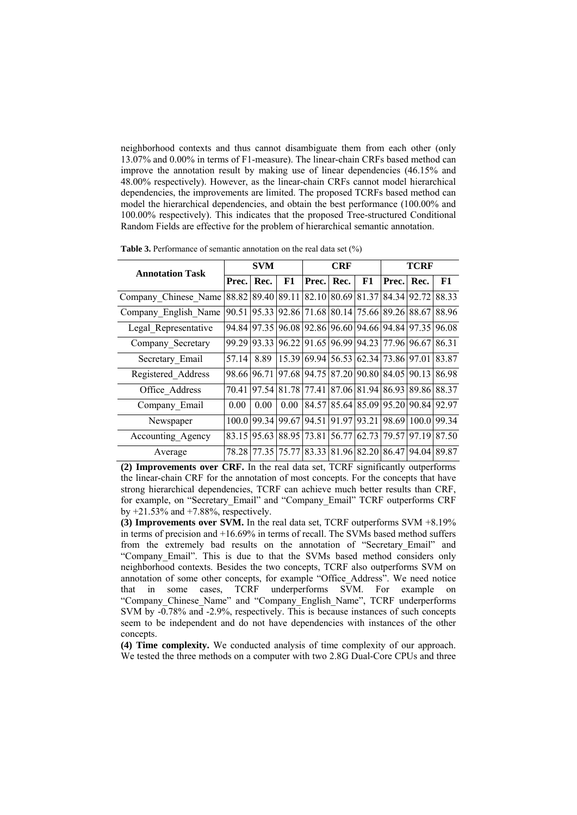neighborhood contexts and thus cannot disambiguate them from each other (only 13.07% and 0.00% in terms of F1-measure). The linear-chain CRFs based method can improve the annotation result by making use of linear dependencies (46.15% and 48.00% respectively). However, as the linear-chain CRFs cannot model hierarchical dependencies, the improvements are limited. The proposed TCRFs based method can model the hierarchical dependencies, and obtain the best performance (100.00% and 100.00% respectively). This indicates that the proposed Tree-structured Conditional Random Fields are effective for the problem of hierarchical semantic annotation.

| <b>Annotation Task</b> |       | SVM   |             |                                     | <b>CRF</b> |             | TCRF                    |             |       |
|------------------------|-------|-------|-------------|-------------------------------------|------------|-------------|-------------------------|-------------|-------|
|                        | Prec. | Rec.  | F1          | Prec.                               | Rec.       | F1          | Prec.                   | Rec.        | F1    |
| Company Chinese Name   | 88.82 | 89.40 | 89.11       | 82.10 80.69 81.37 84.34             |            |             |                         | 92.72       | 88.33 |
| Company_English Name   | 90.51 | 95.33 |             | 92.86 71.68 80.14 75.66 89.26 88.67 |            |             |                         |             | 88.96 |
| Legal Representative   | 94.84 | 97.35 |             | 96.08 92.86 96.60 94.66 94.84 97.35 |            |             |                         |             | 96.08 |
| Company_Secretary      | 99.29 | 93.33 |             | 96.22 91.65 96.99 94.23 77.96 96.67 |            |             |                         |             | 86.31 |
| Secretary Email        | 57.14 | 8.89  |             | 15.39 69.94                         |            |             | 56.53 62.34 73.86 97.01 |             | 83.87 |
| Registered Address     | 98.66 | 96.71 |             | 97.68 94.75                         |            | 87.20 90.80 | 84.05                   | 90.13       | 86.98 |
| Office Address         | 70.41 | 97.54 | 81.78 77.41 |                                     |            |             | 87.06 81.94 86.93       | 89.86       | 88.37 |
| Company_Email          | 0.00  | 0.00  | 0.00        | 84.57                               |            | 85.64 85.09 |                         | 95.20 90.84 | 92.97 |
| Newspaper              | 100.0 | 99.34 | 99.67       | 94.51                               | 91.97      | 93.21       |                         | 98.69 100.0 | 99.34 |
| Accounting Agency      | 83.15 | 95.63 | 88.95       | 73.81                               |            | 56.77 62.73 | 79.57                   | 97 19       | 87.50 |
| Average                | 78.28 | 77.35 | 75.77       | 83.33                               |            | 81.96 82.20 |                         | 86.47 94.04 | 89.87 |

**Table 3.** Performance of semantic annotation on the real data set (%)

**(2) Improvements over CRF.** In the real data set, TCRF significantly outperforms the linear-chain CRF for the annotation of most concepts. For the concepts that have strong hierarchical dependencies, TCRF can achieve much better results than CRF, for example, on "Secretary\_Email" and "Company\_Email" TCRF outperforms CRF by  $+21.53\%$  and  $+7.88\%$ , respectively.

**(3) Improvements over SVM.** In the real data set, TCRF outperforms SVM +8.19% in terms of precision and +16.69% in terms of recall. The SVMs based method suffers from the extremely bad results on the annotation of "Secretary\_Email" and "Company Email". This is due to that the SVMs based method considers only neighborhood contexts. Besides the two concepts, TCRF also outperforms SVM on annotation of some other concepts, for example "Office\_Address". We need notice that in some cases, TCRF underperforms SVM. For example on "Company Chinese Name" and "Company English Name", TCRF underperforms SVM by -0.78% and -2.9%, respectively. This is because instances of such concepts seem to be independent and do not have dependencies with instances of the other concepts.

**(4) Time complexity.** We conducted analysis of time complexity of our approach. We tested the three methods on a computer with two 2.8G Dual-Core CPUs and three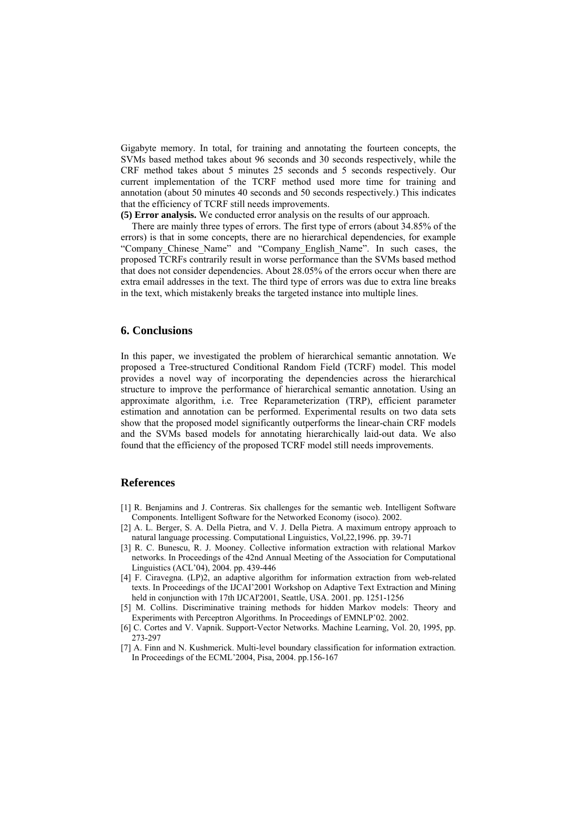Gigabyte memory. In total, for training and annotating the fourteen concepts, the SVMs based method takes about 96 seconds and 30 seconds respectively, while the CRF method takes about 5 minutes 25 seconds and 5 seconds respectively. Our current implementation of the TCRF method used more time for training and annotation (about 50 minutes 40 seconds and 50 seconds respectively.) This indicates that the efficiency of TCRF still needs improvements.

**(5) Error analysis.** We conducted error analysis on the results of our approach.

There are mainly three types of errors. The first type of errors (about 34.85% of the errors) is that in some concepts, there are no hierarchical dependencies, for example "Company Chinese Name" and "Company English Name". In such cases, the proposed TCRFs contrarily result in worse performance than the SVMs based method that does not consider dependencies. About 28.05% of the errors occur when there are extra email addresses in the text. The third type of errors was due to extra line breaks in the text, which mistakenly breaks the targeted instance into multiple lines.

## **6. Conclusions**

In this paper, we investigated the problem of hierarchical semantic annotation. We proposed a Tree-structured Conditional Random Field (TCRF) model. This model provides a novel way of incorporating the dependencies across the hierarchical structure to improve the performance of hierarchical semantic annotation. Using an approximate algorithm, i.e. Tree Reparameterization (TRP), efficient parameter estimation and annotation can be performed. Experimental results on two data sets show that the proposed model significantly outperforms the linear-chain CRF models and the SVMs based models for annotating hierarchically laid-out data. We also found that the efficiency of the proposed TCRF model still needs improvements.

## **References**

- [1] R. Benjamins and J. Contreras. Six challenges for the semantic web. Intelligent Software Components. Intelligent Software for the Networked Economy (isoco). 2002.
- [2] A. L. Berger, S. A. Della Pietra, and V. J. Della Pietra. A maximum entropy approach to natural language processing. Computational Linguistics, Vol,22,1996. pp. 39-71
- [3] R. C. Bunescu, R. J. Mooney. Collective information extraction with relational Markov networks. In Proceedings of the 42nd Annual Meeting of the Association for Computational Linguistics (ACL'04), 2004. pp. 439-446
- [4] F. Ciravegna. (LP)2, an adaptive algorithm for information extraction from web-related texts. In Proceedings of the IJCAI'2001 Workshop on Adaptive Text Extraction and Mining held in conjunction with 17th IJCAI'2001, Seattle, USA. 2001. pp. 1251-1256
- [5] M. Collins. Discriminative training methods for hidden Markov models: Theory and Experiments with Perceptron Algorithms. In Proceedings of EMNLP'02. 2002.
- [6] C. Cortes and V. Vapnik. Support-Vector Networks. Machine Learning, Vol. 20, 1995, pp. 273-297
- [7] A. Finn and N. Kushmerick. Multi-level boundary classification for information extraction. In Proceedings of the ECML'2004, Pisa, 2004. pp.156-167